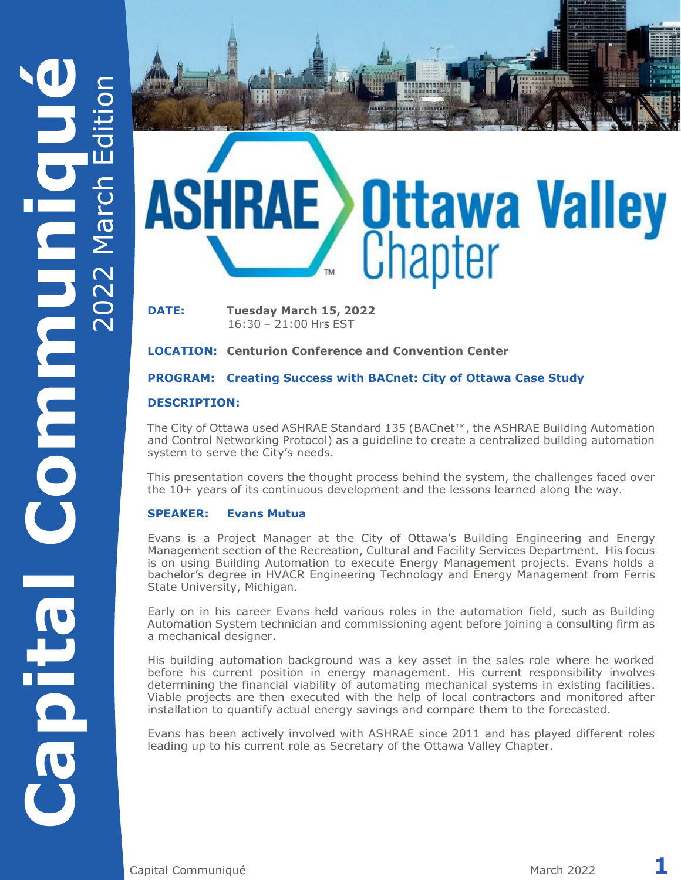

1943414588

**DATE: Tuesday March 15, 2022** 16:30 – 21:00 Hrs EST

**LOCATION: Centurion Conference and Convention Center**

### **PROGRAM: Creating Success with BACnet: City of Ottawa Case Study**

### **DESCRIPTION:**

The City of Ottawa used ASHRAE Standard 135 (BACnet™, the ASHRAE Building Automation and Control Networking Protocol) as a guideline to create a centralized building automation system to serve the City's needs.

This presentation covers the thought process behind the system, the challenges faced over the 10+ years of its continuous development and the lessons learned along the way.

### **SPEAKER: Evans Mutua**

Evans is a Project Manager at the City of Ottawa's Building Engineering and Energy Management section of the Recreation, Cultural and Facility Services Department. His focus is on using Building Automation to execute Energy Management projects. Evans holds a bachelor's degree in HVACR Engineering Technology and Energy Management from Ferris State University, Michigan.

Early on in his career Evans held various roles in the automation field, such as Building Automation System technician and commissioning agent before joining a consulting firm as a mechanical designer.

His building automation background was a key asset in the sales role where he worked before his current position in energy management. His current responsibility involves determining the financial viability of automating mechanical systems in existing facilities. Viable projects are then executed with the help of local contractors and monitored after installation to quantify actual energy savings and compare them to the forecasted.

Evans has been actively involved with ASHRAE since 2011 and has played different roles leading up to his current role as Secretary of the Ottawa Valley Chapter.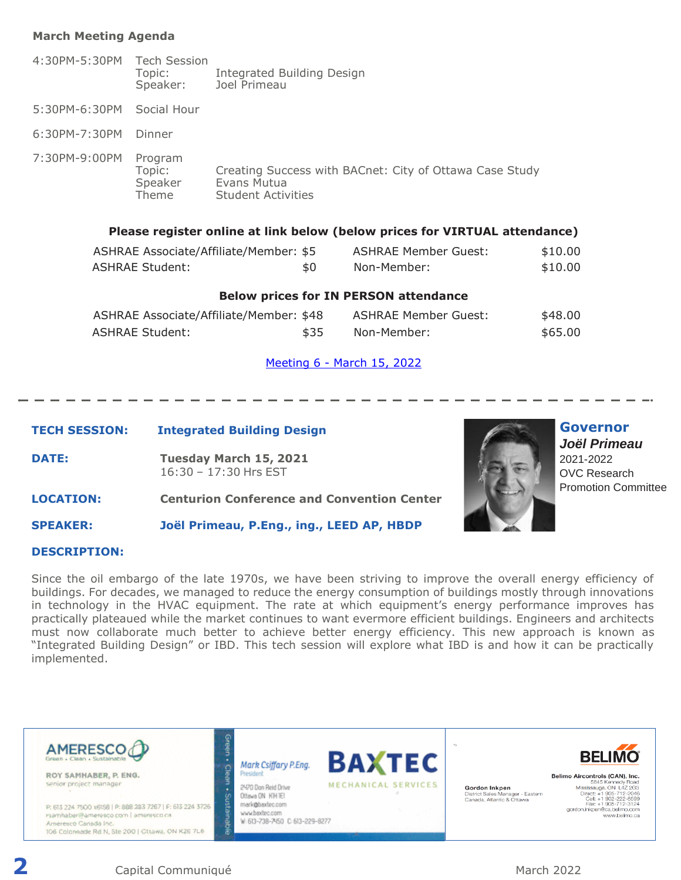### **March Meeting Agenda**

4:30PM-5:30PM Tech Session Topic: Integrated Building Design Speaker: Joel Primeau 5:30PM-6:30PM Social Hour 6:30PM-7:30PM Dinner 7:30PM-9:00PM Program Topic: Creating Success with BACnet: City of Ottawa Case Study Speaker Evans Mutua<br>Theme Student Activ **Student Activities Please register online at link below (below prices for VIRTUAL attendance)**

| ASHRAE Associate/Affiliate/Member: \$5 |     | ASHRAE Member Guest: | \$10.00 |
|----------------------------------------|-----|----------------------|---------|
| <b>ASHRAE Student:</b>                 | \$0 | Non-Member:          | \$10.00 |

#### **Below prices for IN PERSON attendance**

| ASHRAE Associate/Affiliate/Member: \$48 |      | ASHRAE Member Guest: | \$48.00 |
|-----------------------------------------|------|----------------------|---------|
| ASHRAE Student:                         | \$35 | Non-Member:          | \$65,00 |

#### [Meeting 6](https://ashraeottawa.simplesignup.ca/11040) - March 15, 2022

### **TECH SESSION: Integrated Building Design**

**DATE: Tuesday March 15, 2021**  16:30 – 17:30 Hrs EST



**Governor** *Joël Primeau*  2021-2022 OVC Research Promotion Committee

**LOCATION: Centurion Conference and Convention Center**

**SPEAKER: Joël Primeau, P.Eng., ing., LEED AP, HBDP**

#### **DESCRIPTION:**

Since the oil embargo of the late 1970s, we have been striving to improve the overall energy efficiency of buildings. For decades, we managed to reduce the energy consumption of buildings mostly through innovations in technology in the HVAC equipment. The rate at which equipment's energy performance improves has practically plateaued while the market continues to want evermore efficient buildings. Engineers and architects must now collaborate much better to achieve better energy efficiency. This new approach is known as "Integrated Building Design" or IBD. This tech session will explore what IBD is and how it can be practically implemented.

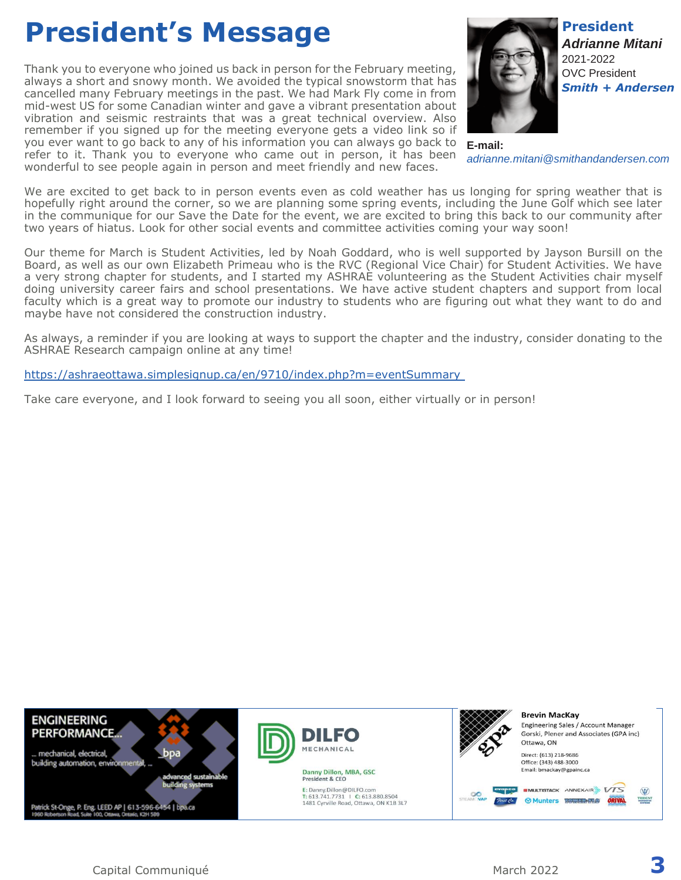# **President's Message**

Thank you to everyone who joined us back in person for the February meeting, always a short and snowy month. We avoided the typical snowstorm that has cancelled many February meetings in the past. We had Mark Fly come in from mid-west US for some Canadian winter and gave a vibrant presentation about vibration and seismic restraints that was a great technical overview. Also remember if you signed up for the meeting everyone gets a video link so if you ever want to go back to any of his information you can always go back to refer to it. Thank you to everyone who came out in person, it has been wonderful to see people again in person and meet friendly and new faces.



**E-mail:** *adrianne.mitani@smithandandersen.com*

We are excited to get back to in person events even as cold weather has us longing for spring weather that is hopefully right around the corner, so we are planning some spring events, including the June Golf which see later in the communique for our Save the Date for the event, we are excited to bring this back to our community after two years of hiatus. Look for other social events and committee activities coming your way soon!

Our theme for March is Student Activities, led by Noah Goddard, who is well supported by Jayson Bursill on the Board, as well as our own Elizabeth Primeau who is the RVC (Regional Vice Chair) for Student Activities. We have a very strong chapter for students, and I started my ASHRAE volunteering as the Student Activities chair myself doing university career fairs and school presentations. We have active student chapters and support from local faculty which is a great way to promote our industry to students who are figuring out what they want to do and maybe have not considered the construction industry.

As always, a reminder if you are looking at ways to support the chapter and the industry, consider donating to the ASHRAE Research campaign online at any time!

<https://ashraeottawa.simplesignup.ca/en/9710/index.php?m=eventSummary>

Take care everyone, and I look forward to seeing you all soon, either virtually or in person!

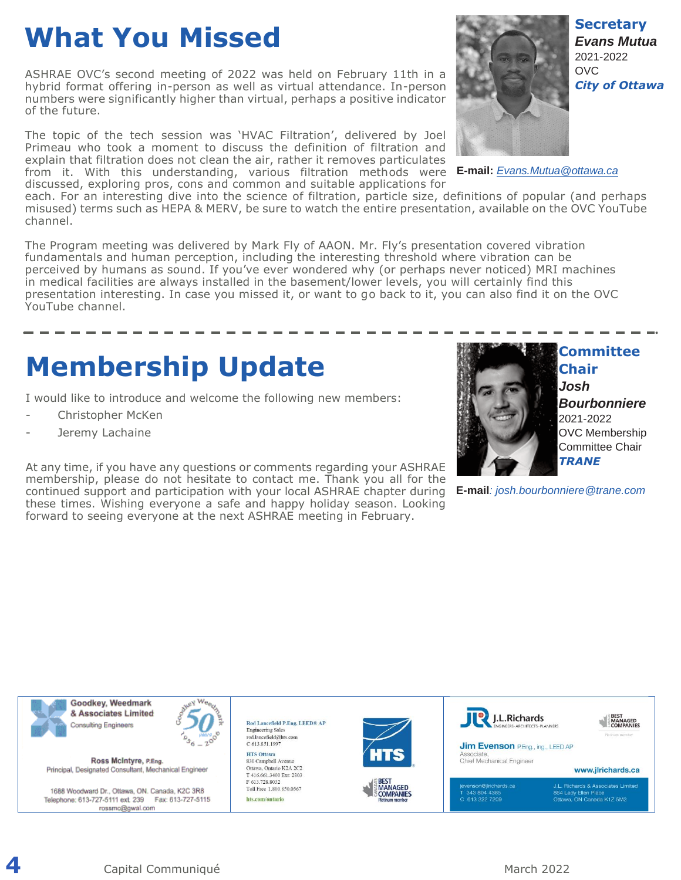# **What You Missed**

ASHRAE OVC's second meeting of 2022 was held on February 11th in a hybrid format offering in-person as well as virtual attendance. In-person numbers were significantly higher than virtual, perhaps a positive indicator of the future.

The topic of the tech session was 'HVAC Filtration', delivered by Joel Primeau who took a moment to discuss the definition of filtration and explain that filtration does not clean the air, rather it removes particulates from it. With this understanding, various filtration methods were **E-mail:** *[Evans.Mutua@ottawa.ca](mailto:Evans.Mutua@ottawa.ca)* discussed, exploring pros, cons and common and suitable applications for



each. For an interesting dive into the science of filtration, particle size, definitions of popular (and perhaps misused) terms such as HEPA & MERV, be sure to watch the entire presentation, available on the OVC YouTube channel.

The Program meeting was delivered by Mark Fly of AAON. Mr. Fly's presentation covered vibration fundamentals and human perception, including the interesting threshold where vibration can be perceived by humans as sound. If you've ever wondered why (or perhaps never noticed) MRI machines in medical facilities are always installed in the basement/lower levels, you will certainly find this presentation interesting. In case you missed it, or want to go back to it, you can also find it on the OVC YouTube channel.

# **Membership Update**

I would like to introduce and welcome the following new members:

- Christopher McKen
- Jeremy Lachaine

At any time, if you have any questions or comments regarding your ASHRAE membership, please do not hesitate to contact me. Thank you all for the continued support and participation with your local ASHRAE chapter during these times. Wishing everyone a safe and happy holiday season. Looking forward to seeing everyone at the next ASHRAE meeting in February.



**Chair** *Josh Bourbonniere* 2021-2022 OVC Membership Committee Chair *TRANE*

**E-mail***: josh.bourbonniere@trane.com*

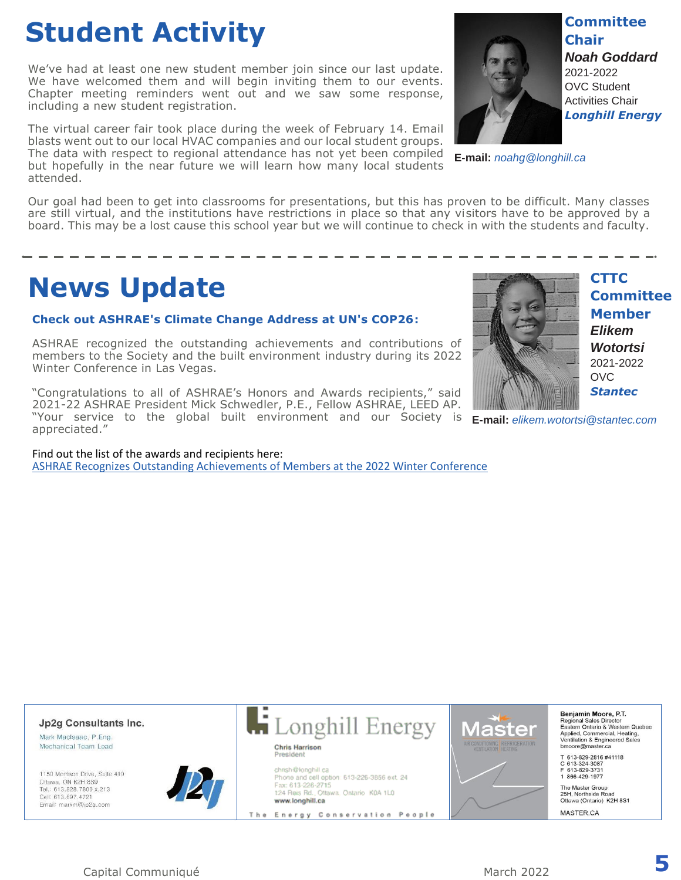# **Student Activity**

We've had at least one new student member join since our last update. We have welcomed them and will begin inviting them to our events. Chapter meeting reminders went out and we saw some response, including a new student registration.

The virtual career fair took place during the week of February 14. Email blasts went out to our local HVAC companies and our local student groups. The data with respect to regional attendance has not yet been compiled but hopefully in the near future we will learn how many local students attended.



**Committee Chair** *Noah Goddard* 2021-2022 OVC Student Activities Chair *Longhill Energy*

**E-mail:** *noahg@longhill.ca*

Our goal had been to get into classrooms for presentations, but this has proven to be difficult. Many classes are still virtual, and the institutions have restrictions in place so that any visitors have to be approved by a board. This may be a lost cause this school year but we will continue to check in with the students and faculty.

## **News Update**

### **Check out ASHRAE's Climate Change Address at UN's COP26:**

ASHRAE recognized the outstanding achievements and contributions of members to the Society and the built environment industry during its 2022 Winter Conference in Las Vegas.

"Congratulations to all of ASHRAE's Honors and Awards recipients," said 2021-22 ASHRAE President Mick Schwedler, P.E., Fellow ASHRAE, LEED AP. "Your service to the global built environment and our Society is appreciated."

Find out the list of the awards and recipients here: [ASHRAE Recognizes Outstanding Achievements of Members at the 2022 Winter Conference](https://www.ashrae.org/about/news/2022/ashrae-recognizes-outstanding-achievements-of-members-at-the-2022-winter-conference)



**CTTC Committee Member** *Elikem Wotortsi* 2021-2022 OVC. *Stantec*

**E-mail:** *elikem.wotortsi@stantec.com*



Capital Communiqué **5**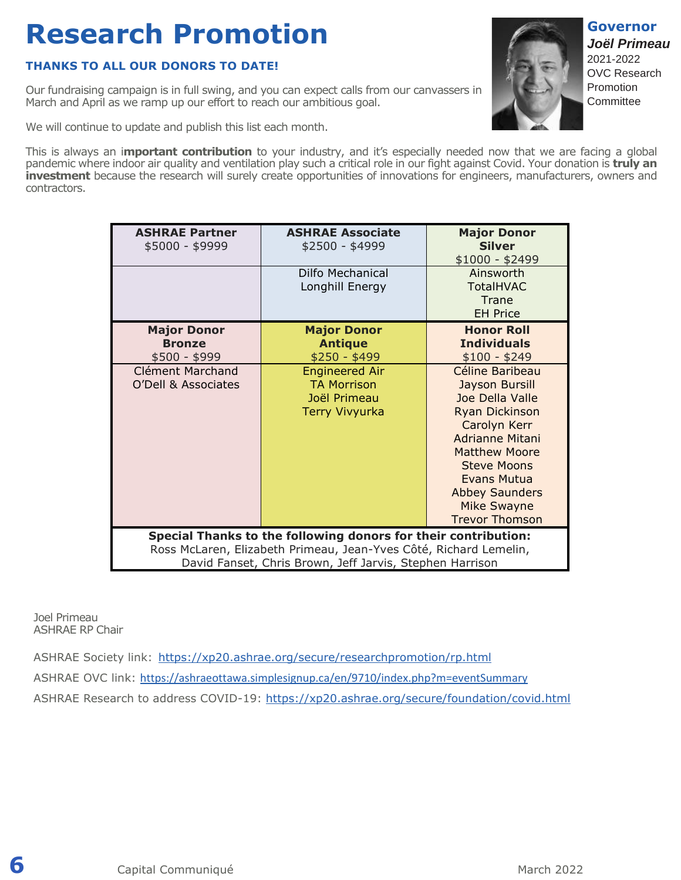# **Research Promotion**

### **THANKS TO ALL OUR DONORS TO DATE!**

Our fundraising campaign is in full swing, and you can expect calls from our canvassers in March and April as we ramp up our effort to reach our ambitious goal.

We will continue to update and publish this list each month.

**ASHRAE Partner** \$5000 - \$9999

> **Major Donor Bronze** \$500 - \$999

Clément Marchand O'Dell & Associates

This is always an i**mportant contribution** to your industry, and it's especially needed now that we are facing a global pandemic where indoor air quality and ventilation play such a critical role in our fight against Covid. Your donation is **truly an investment** because the research will surely create opportunities of innovations for engineers, manufacturers, owners and contractors.

> **ASHRAE Associate** \$2500 - \$4999

> > Dilfo Mechanical Longhill Energy

**Major Donor Antique** \$250 - \$499

Engineered Air TA Morrison Joël Primeau Terry Vivyurka

**Special Thanks to the following donors for their contribution:** Ross McLaren, Elizabeth Primeau, Jean-Yves Côté, Richard Lemelin,

|                                        | David Fanset, Chris Brown, Jeff Jarvis, Stephen Harrison                                  |
|----------------------------------------|-------------------------------------------------------------------------------------------|
|                                        |                                                                                           |
| Joel Primeau<br><b>ASHRAE RP Chair</b> |                                                                                           |
|                                        | ASHRAE Society link: https://xp20.ashrae.org/secure/researchpromotion/rp.html             |
|                                        | ASHRAE OVC link: https://ashraeottawa.simplesignup.ca/en/9710/index.php?m=eventSummary    |
|                                        | ASHRAE Research to address COVID-19: https://xp20.ashrae.org/secure/foundation/covid.html |
|                                        |                                                                                           |
|                                        |                                                                                           |
|                                        |                                                                                           |
|                                        |                                                                                           |

**6** Capital Communiqué **March 2022** March 2022



**Major Donor Silver** \$1000 - \$2499

> Ainsworth TotalHVAC **Trane** EH Price

**Honor Roll Individuals** \$100 - \$249

Céline Baribeau Jayson Bursill Joe Della Valle Ryan Dickinson Carolyn Kerr Adrianne Mitani Matthew Moore Steve Moons Evans Mutua Abbey Saunders Mike Swayne Trevor Thomson **Governor** *Joël Primeau*  2021-2022 OVC Research Promotion **Committee**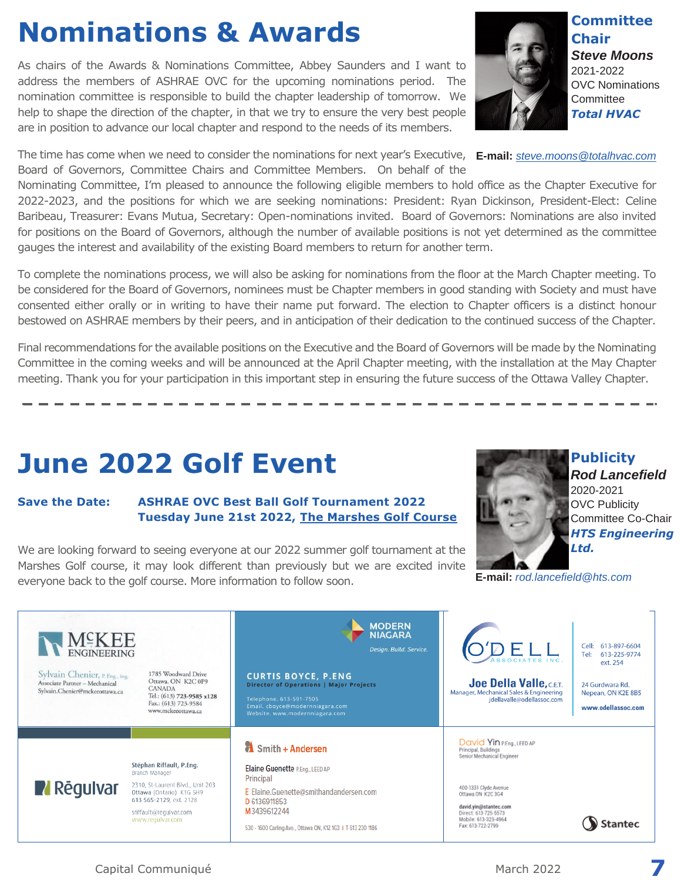# **Nominations & Awards**

As chairs of the Awards & Nominations Committee, Abbey Saunders and I want to address the members of ASHRAE OVC for the upcoming nominations period. The nomination committee is responsible to build the chapter leadership of tomorrow. We help to shape the direction of the chapter, in that we try to ensure the very best people are in position to advance our local chapter and respond to the needs of its members.

The time has come when we need to consider the nominations for next year's Executive, **E-mail:** *[steve.moons@totalhvac.com](mailto:steve.moons@totalhvac.com)* Board of Governors, Committee Chairs and Committee Members. On behalf of the

Nominating Committee, I'm pleased to announce the following eligible members to hold office as the Chapter Executive for 2022-2023, and the positions for which we are seeking nominations: President: Ryan Dickinson, President-Elect: Celine Baribeau, Treasurer: Evans Mutua, Secretary: Open-nominations invited. Board of Governors: Nominations are also invited for positions on the Board of Governors, although the number of available positions is not yet determined as the committee gauges the interest and availability of the existing Board members to return for another term.

To complete the nominations process, we will also be asking for nominations from the floor at the March Chapter meeting. To be considered for the Board of Governors, nominees must be Chapter members in good standing with Society and must have consented either orally or in writing to have their name put forward. The election to Chapter officers is a distinct honour bestowed on ASHRAE members by their peers, and in anticipation of their dedication to the continued success of the Chapter.

Final recommendations for the available positions on the Executive and the Board of Governors will be made by the Nominating Committee in the coming weeks and will be announced at the April Chapter meeting, with the installation at the May Chapter meeting. Thank you for your participation in this important step in ensuring the future success of the Ottawa Valley Chapter.

# **June 2022 Golf Event**

### **Save the Date: ASHRAE OVC Best Ball Golf Tournament 2022 Tuesday June 21st 2022, [The Marshes Golf Course](https://www.marshesgolfclub.com/)**

We are looking forward to seeing everyone at our 2022 summer golf tournament at the Marshes Golf course, it may look different than previously but we are excited invite everyone back to the golf course. More information to follow soon.



**Publicity**

**E-mail:** *[rod.lancefield@hts.com](mailto:rod.lancefield@hts.com)*

**MODERN NIAGARA** M≌KEE Cell: 613-897-6604 DELL Design. Build. Service. **ENGINEERING** 613-225-9774 Tel: ext. 254 Sylvain Chenier, P. Eng., ing. 1785 Woodward Drive **CURTIS BOYCE, P.ENG**<br>Director of Operations | Major Projects Ottawa, ON K2C 0P9 Associate Partner - Mechanical Joe Della Valle, C.E.T. 24 Gurdwara Rd. **CANADA** Sylvain.Chenier@mckeeottawa.ca Manager, Mechanical Sales & Engineering Nepean, ON K2E 8B5 Tel.: (613) 723-9585 x128 jdellavalle@odellassoc.com Fax.: (613) 723-9584 Email. cboyce@modernniagara.com<br>Website. www.modernniagara.com www.odellassoc.com www.mckeeottawa.ca David Yin P.Eng., LEED AP Smith + Andersen Principal, Buildings<br>Senior Mechanical Engineer Stéphan Riffault, P.Eng. Elaine Guenette P.Eng., LEED AP Branch Manager Principal 2310, St-Laurent Blvd., Unit 203 **Z** Rēgulvar 400-1331 Clvde Avenue Ottawa (Ontario) K1G 5H9 E Elaine.Guenette@smithandandersen.com Ottawa ON K2C 3G4 613 565-2129, ext. 2128 D 6136911853 david.yin@stantec.com sriffault@regulvar.com M3439612244 Direct: 613-725-5573<br>Mobile: 613-323-4964 www.regulvar.com Stantec Fax: 613-722-2799 530 - 1600 Carling Ave., Ottawa ON, K1Z 1G3 | T 613 230 1186

Capital Communiqué **7** 



**Committee Chair** *Steve Moons* 2021-2022 OVC Nominations **Committee** *Total HVAC*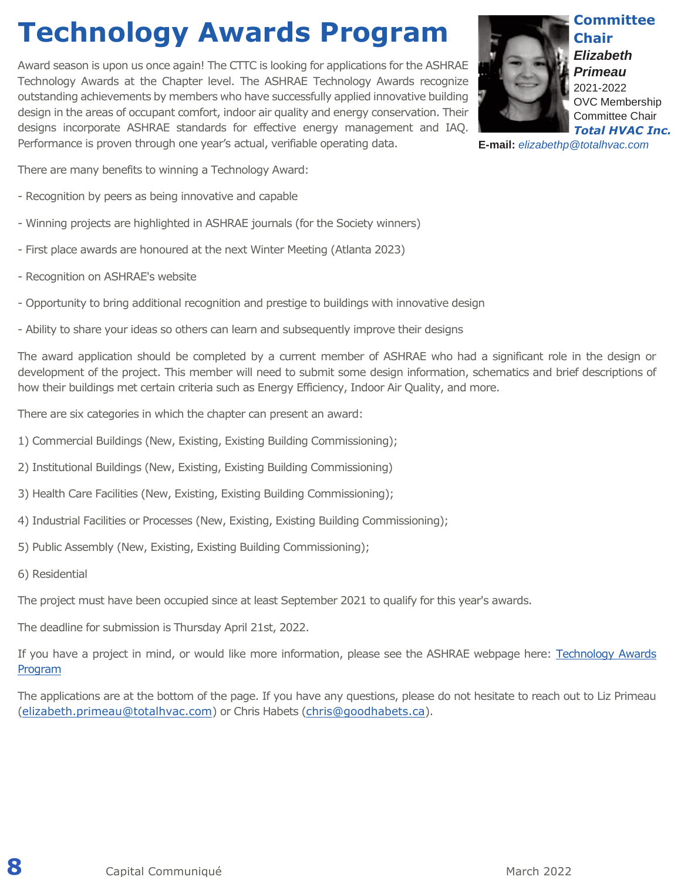# **Technology Awards Program**

Award season is upon us once again! The CTTC is looking for applications for the ASHRAE Technology Awards at the Chapter level. The ASHRAE Technology Awards recognize outstanding achievements by members who have successfully applied innovative building design in the areas of occupant comfort, indoor air quality and energy conservation. Their designs incorporate ASHRAE standards for effective energy management and IAQ. Performance is proven through one year's actual, verifiable operating data.



**Committee Chair** *Elizabeth Primeau* 2021-2022 OVC Membership Committee Chair

*Total HVAC Inc.*

**E-mail:** *[elizabethp@totalhvac.com](mailto:elizabethp@totalhvac.com)*

There are many benefits to winning a Technology Award:

- Recognition by peers as being innovative and capable
- Winning projects are highlighted in ASHRAE journals (for the Society winners)
- First place awards are honoured at the next Winter Meeting (Atlanta 2023)
- Recognition on ASHRAE's website
- Opportunity to bring additional recognition and prestige to buildings with innovative design
- Ability to share your ideas so others can learn and subsequently improve their designs

The award application should be completed by a current member of ASHRAE who had a significant role in the design or development of the project. This member will need to submit some design information, schematics and brief descriptions of how their buildings met certain criteria such as Energy Efficiency, Indoor Air Quality, and more.

There are six categories in which the chapter can present an award:

- 1) Commercial Buildings (New, Existing, Existing Building Commissioning);
- 2) Institutional Buildings (New, Existing, Existing Building Commissioning)
- 3) Health Care Facilities (New, Existing, Existing Building Commissioning);
- 4) Industrial Facilities or Processes (New, Existing, Existing Building Commissioning);
- 5) Public Assembly (New, Existing, Existing Building Commissioning);
- 6) Residential

The project must have been occupied since at least September 2021 to qualify for this year's awards.

The deadline for submission is Thursday April 21st, 2022.

If you have a project in mind, or would like more information, please see the ASHRAE webpage here: Technology Awards [Program](https://www.ashrae.org/membership/honors-and-awards/technology-awards-program)

The applications are at the bottom of the page. If you have any questions, please do not hesitate to reach out to Liz Primeau (elizabeth.primeau@totalhvac.com) or Chris Habets (chris@goodhabets.ca).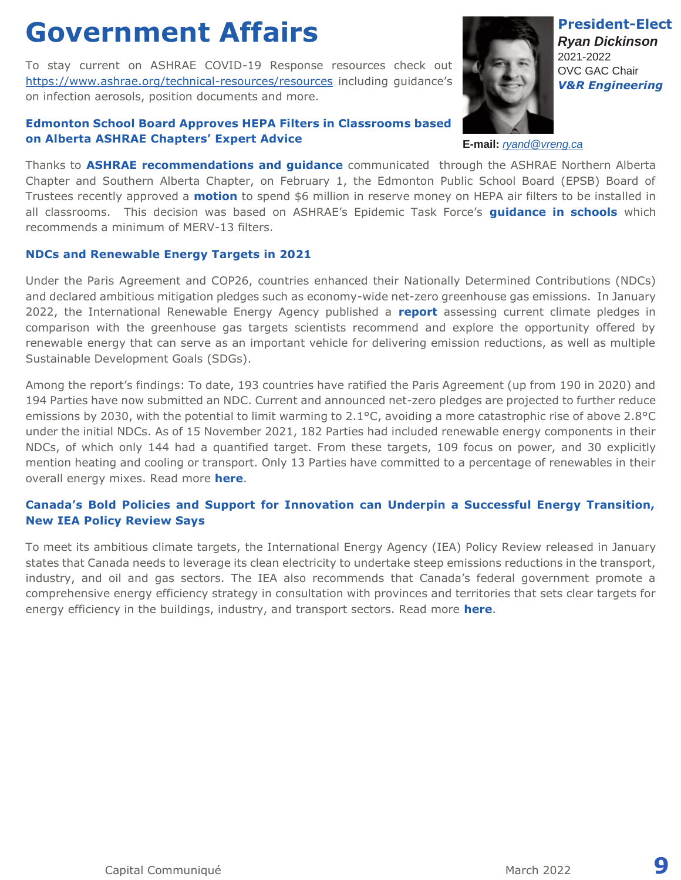## **Government Affairs**

To stay current on ASHRAE COVID-19 Response resources check out <https://www.ashrae.org/technical-resources/resources> including guidance's on infection aerosols, position documents and more.

### **Edmonton School Board Approves HEPA Filters in Classrooms based on Alberta ASHRAE Chapters' Expert Advice**



**President-Elect** *Ryan Dickinson* 2021-2022 OVC GAC Chair *V&R Engineering*

**E-mail:** *[ryand@vreng.ca](mailto:ryand@vreng.ca)*

Thanks to **ASHRAE recommendations and guidance** communicated through the ASHRAE Northern Alberta Chapter and Southern Alberta Chapter, on February 1, the Edmonton Public School Board (EPSB) Board of Trustees recently approved a **motion** to spend \$6 million in reserve money on HEPA air filters to be installed in all classrooms. This decision was based on ASHRAE's Epidemic Task Force's **guidance in schools** which recommends a minimum of MERV-13 filters.

### **NDCs and Renewable Energy Targets in 2021**

Under the Paris Agreement and COP26, countries enhanced their Nationally Determined Contributions (NDCs) and declared ambitious mitigation pledges such as economy-wide net-zero greenhouse gas emissions. In January 2022, the International Renewable Energy Agency published a **report** assessing current climate pledges in comparison with the greenhouse gas targets scientists recommend and explore the opportunity offered by renewable energy that can serve as an important vehicle for delivering emission reductions, as well as multiple Sustainable Development Goals (SDGs).

Among the report's findings: To date, 193 countries have ratified the Paris Agreement (up from 190 in 2020) and 194 Parties have now submitted an NDC. Current and announced net-zero pledges are projected to further reduce emissions by 2030, with the potential to limit warming to 2.1°C, avoiding a more catastrophic rise of above 2.8°C under the initial NDCs. As of 15 November 2021, 182 Parties had included renewable energy components in their NDCs, of which only 144 had a quantified target. From these targets, 109 focus on power, and 30 explicitly mention heating and cooling or transport. Only 13 Parties have committed to a percentage of renewables in their overall energy mixes. Read more **[here](https://www.irena.org/publications/2022/Jan/NDCs-and-Renewable-Energy-Targets-in-2021)**.

### **Canada's Bold Policies and Support for Innovation can Underpin a Successful Energy Transition, New IEA Policy Review Says**

To meet its ambitious climate targets, the International Energy Agency (IEA) Policy Review released in January states that Canada needs to leverage its clean electricity to undertake steep emissions reductions in the transport, industry, and oil and gas sectors. The IEA also recommends that Canada's federal government promote a comprehensive energy efficiency strategy in consultation with provinces and territories that sets clear targets for energy efficiency in the buildings, industry, and transport sectors. Read more **[here](https://www.iea.org/news/canada-s-bold-policies-and-support-for-innovation-can-underpin-a-successful-energy-transition-new-iea-policy-review-says)**.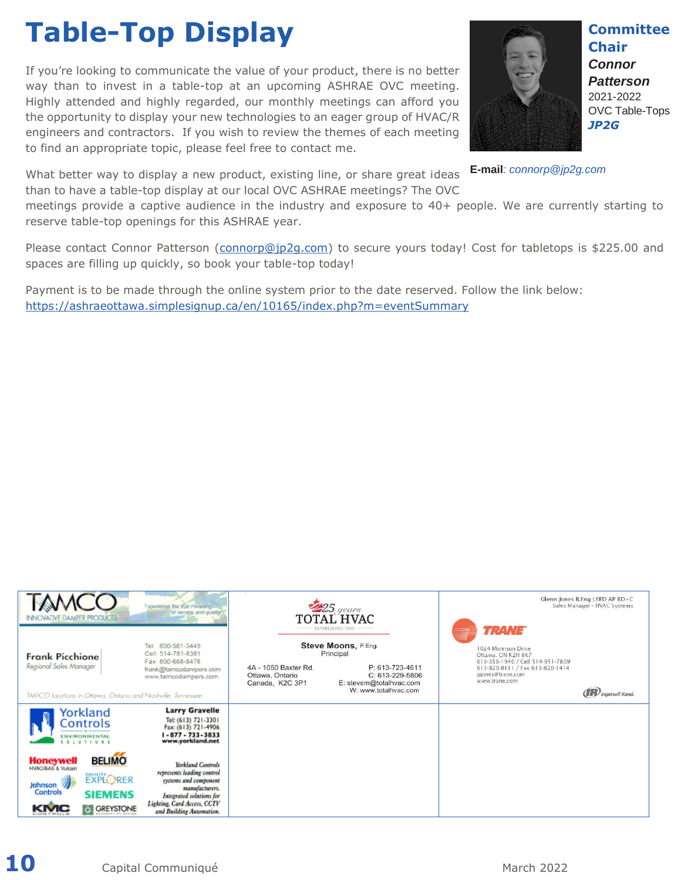# **Table-Top Display**

If you're looking to communicate the value of your product, there is no better way than to invest in a table-top at an upcoming ASHRAE OVC meeting. Highly attended and highly regarded, our monthly meetings can afford you the opportunity to display your new technologies to an eager group of HVAC/R engineers and contractors. If you wish to review the themes of each meeting to find an appropriate topic, please feel free to contact me.

What better way to display a new product, existing line, or share great ideas than to have a table-top display at our local OVC ASHRAE meetings? The OVC

**Committee Chair** *Connor Patterson* 2021-2022 OVC Table-Tops *JP2G* 

**E-mail***: connorp@jp2g.com*

meetings provide a captive audience in the industry and exposure to 40+ people. We are currently starting to reserve table-top openings for this ASHRAE year.

Please contact Connor Patterson [\(connorp@jp2g.com\)](mailto:connorp@jp2g.com) to secure yours today! Cost for tabletops is \$225.00 and spaces are filling up quickly, so book your table-top today!

Payment is to be made through the online system prior to the date reserved. Follow the link below: <https://ashraeottawa.simplesignup.ca/en/10165/index.php?m=eventSummary>

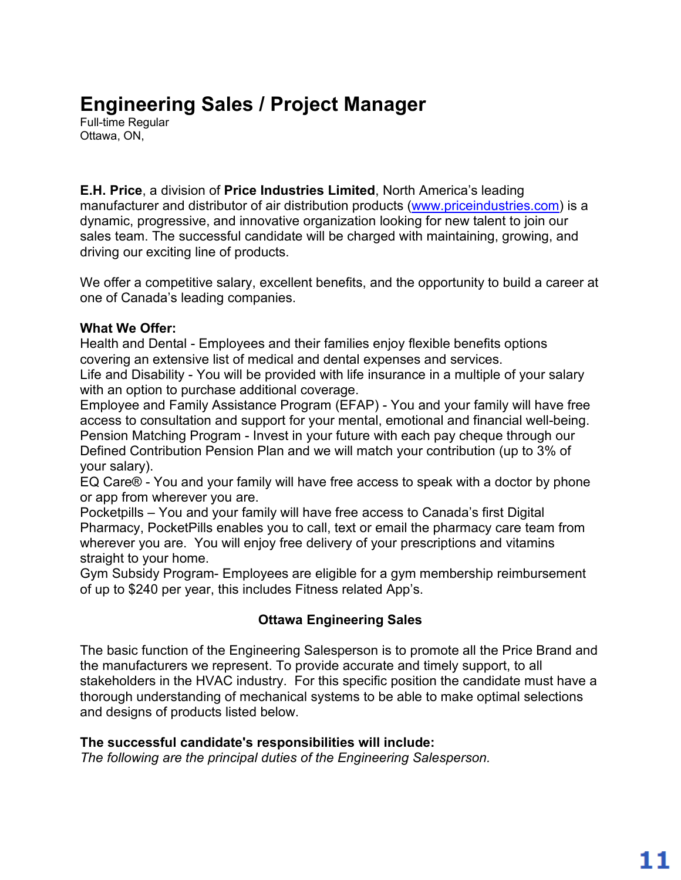### **Engineering Sales / Project Manager**

Full-time Regular Ottawa, ON,

### **E.H. Price**, a division of **Price Industries Limited**, North America's leading manufacturer and distributor of air distribution products (www.priceindustries.com) is a dynamic, progressive, and innovative organization looking for new talent to join our sales team. The successful candidate will be charged with maintaining, growing, and driving our exciting line of products.

We offer a competitive salary, excellent benefits, and the opportunity to build a career at one of Canada's leading companies.

### **What We Offer:**

Health and Dental - Employees and their families enjoy flexible benefits options covering an extensive list of medical and dental expenses and services.

Life and Disability - You will be provided with life insurance in a multiple of your salary with an option to purchase additional coverage.

Employee and Family Assistance Program (EFAP) - You and your family will have free access to consultation and support for your mental, emotional and financial well-being. Pension Matching Program - Invest in your future with each pay cheque through our Defined Contribution Pension Plan and we will match your contribution (up to 3% of your salary).

EQ Care® - You and your family will have free access to speak with a doctor by phone or app from wherever you are.

Pocketpills – You and your family will have free access to Canada's first Digital Pharmacy, PocketPills enables you to call, text or email the pharmacy care team from wherever you are. You will enjoy free delivery of your prescriptions and vitamins straight to your home.

Gym Subsidy Program- Employees are eligible for a gym membership reimbursement of up to \$240 per year, this includes Fitness related App's.

### **Ottawa Engineering Sales**

The basic function of the Engineering Salesperson is to promote all the Price Brand and the manufacturers we represent. To provide accurate and timely support, to all stakeholders in the HVAC industry. For this specific position the candidate must have a thorough understanding of mechanical systems to be able to make optimal selections and designs of products listed below.

### **The successful candidate's responsibilities will include:**

*The following are the principal duties of the Engineering Salesperson.*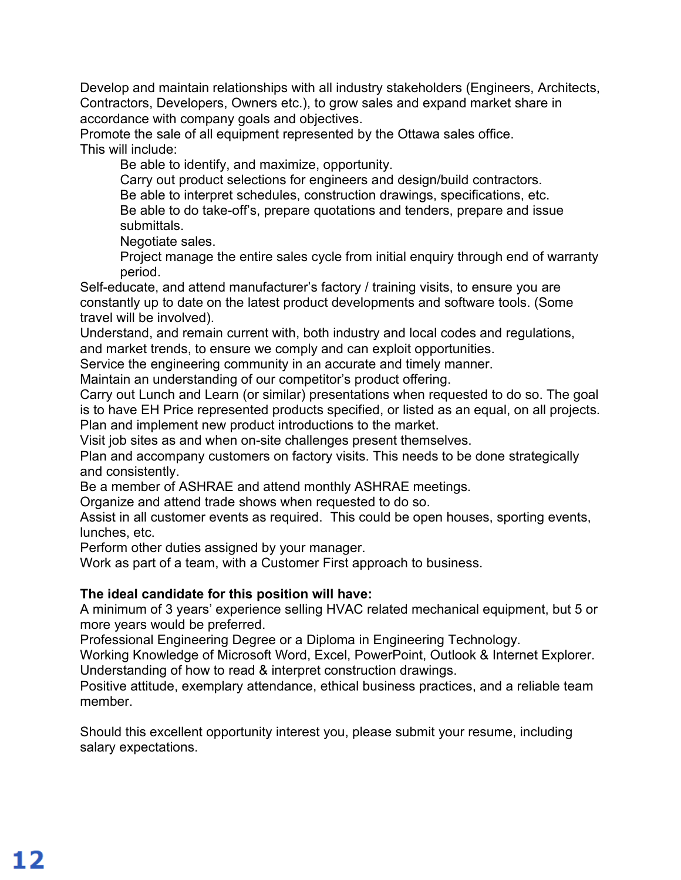Develop and maintain relationships with all industry stakeholders (Engineers, Architects, Contractors, Developers, Owners etc.), to grow sales and expand market share in accordance with company goals and objectives.

Promote the sale of all equipment represented by the Ottawa sales office. This will include:

Be able to identify, and maximize, opportunity.

Carry out product selections for engineers and design/build contractors.

Be able to interpret schedules, construction drawings, specifications, etc.

Be able to do take-off's, prepare quotations and tenders, prepare and issue submittals.

Negotiate sales.

Project manage the entire sales cycle from initial enquiry through end of warranty period.

Self-educate, and attend manufacturer's factory / training visits, to ensure you are constantly up to date on the latest product developments and software tools. (Some travel will be involved).

Understand, and remain current with, both industry and local codes and regulations, and market trends, to ensure we comply and can exploit opportunities.

Service the engineering community in an accurate and timely manner.

Maintain an understanding of our competitor's product offering.

Carry out Lunch and Learn (or similar) presentations when requested to do so. The goal is to have EH Price represented products specified, or listed as an equal, on all projects. Plan and implement new product introductions to the market.

Visit job sites as and when on-site challenges present themselves.

Plan and accompany customers on factory visits. This needs to be done strategically and consistently.

Be a member of ASHRAE and attend monthly ASHRAE meetings.

Organize and attend trade shows when requested to do so.

Assist in all customer events as required. This could be open houses, sporting events, lunches, etc.

Perform other duties assigned by your manager.

Work as part of a team, with a Customer First approach to business.

### **The ideal candidate for this position will have:**

A minimum of 3 years' experience selling HVAC related mechanical equipment, but 5 or more years would be preferred.

Professional Engineering Degree or a Diploma in Engineering Technology.

Working Knowledge of Microsoft Word, Excel, PowerPoint, Outlook & Internet Explorer. Understanding of how to read & interpret construction drawings.

Positive attitude, exemplary attendance, ethical business practices, and a reliable team member.

Should this excellent opportunity interest you, please submit your resume, including salary expectations.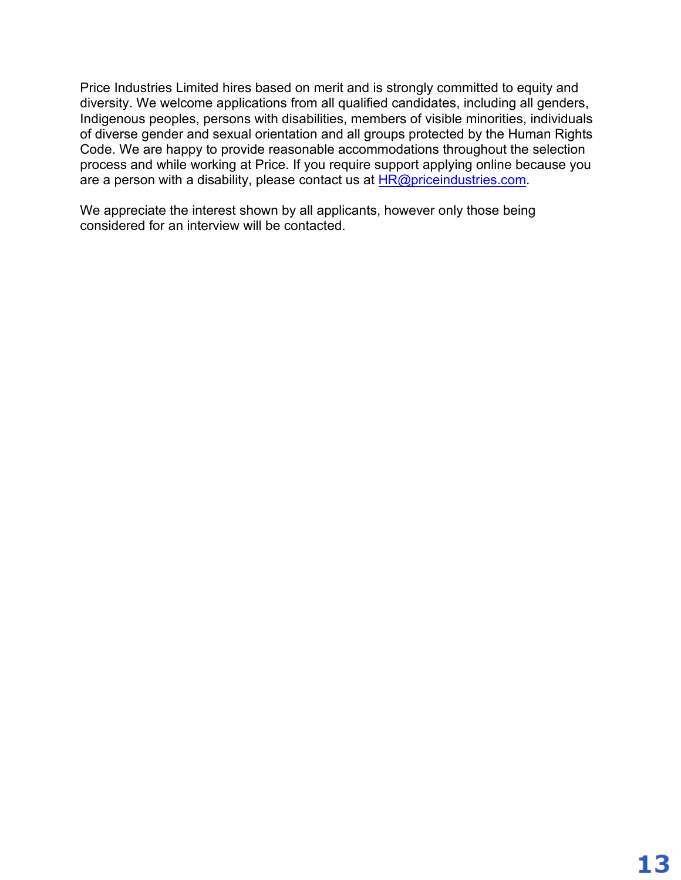Price Industries Limited hires based on merit and is strongly committed to equity and diversity. We welcome applications from all qualified candidates, including all genders, Indigenous peoples, persons with disabilities, members of visible minorities, individuals of diverse gender and sexual orientation and all groups protected by the Human Rights Code. We are happy to provide reasonable accommodations throughout the selection process and while working at Price. If you require support applying online because you are a person with a disability, please contact us at  $HR@priceindustries.com$ .

We appreciate the interest shown by all applicants, however only those being considered for an interview will be contacted.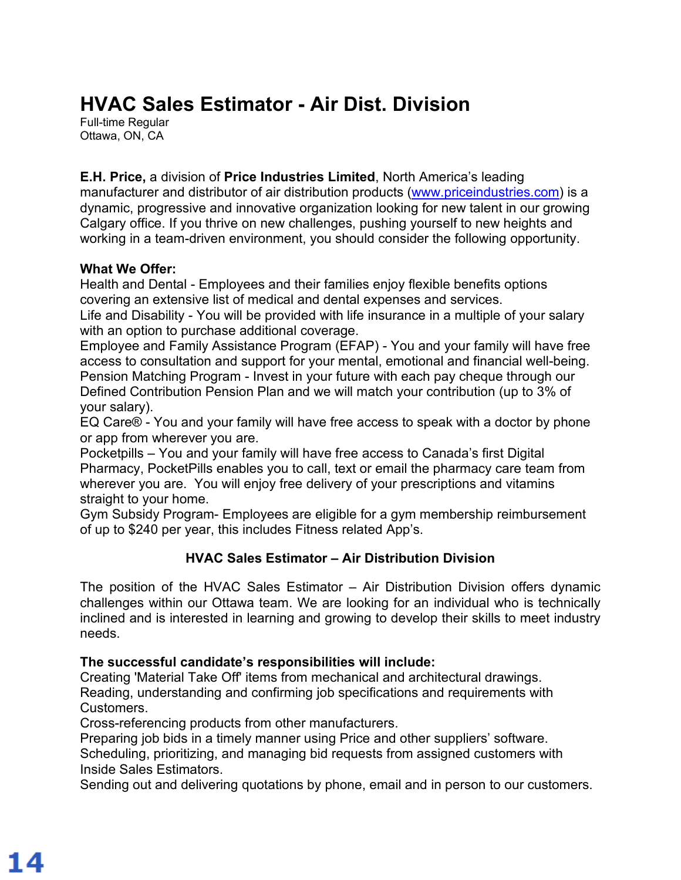### **HVAC Sales Estimator - Air Dist. Division**

Full-time Regular Ottawa, ON, CA

**E.H. Price,** a division of **Price Industries Limited**, North America's leading manufacturer and distributor of air distribution products (www.priceindustries.com) is a dynamic, progressive and innovative organization looking for new talent in our growing Calgary office. If you thrive on new challenges, pushing yourself to new heights and working in a team-driven environment, you should consider the following opportunity.

### **What We Offer:**

Health and Dental - Employees and their families enjoy flexible benefits options covering an extensive list of medical and dental expenses and services.

Life and Disability - You will be provided with life insurance in a multiple of your salary with an option to purchase additional coverage.

Employee and Family Assistance Program (EFAP) - You and your family will have free access to consultation and support for your mental, emotional and financial well-being. Pension Matching Program - Invest in your future with each pay cheque through our Defined Contribution Pension Plan and we will match your contribution (up to 3% of your salary).

EQ Care® - You and your family will have free access to speak with a doctor by phone or app from wherever you are.

Pocketpills – You and your family will have free access to Canada's first Digital Pharmacy, PocketPills enables you to call, text or email the pharmacy care team from wherever you are. You will enjoy free delivery of your prescriptions and vitamins straight to your home.

Gym Subsidy Program- Employees are eligible for a gym membership reimbursement of up to \$240 per year, this includes Fitness related App's.

### **HVAC Sales Estimator – Air Distribution Division**

The position of the HVAC Sales Estimator – Air Distribution Division offers dynamic challenges within our Ottawa team. We are looking for an individual who is technically inclined and is interested in learning and growing to develop their skills to meet industry needs.

### **The successful candidate's responsibilities will include:**

Creating 'Material Take Off' items from mechanical and architectural drawings. Reading, understanding and confirming job specifications and requirements with Customers.

Cross-referencing products from other manufacturers.

Preparing job bids in a timely manner using Price and other suppliers' software. Scheduling, prioritizing, and managing bid requests from assigned customers with Inside Sales Estimators.

Sending out and delivering quotations by phone, email and in person to our customers.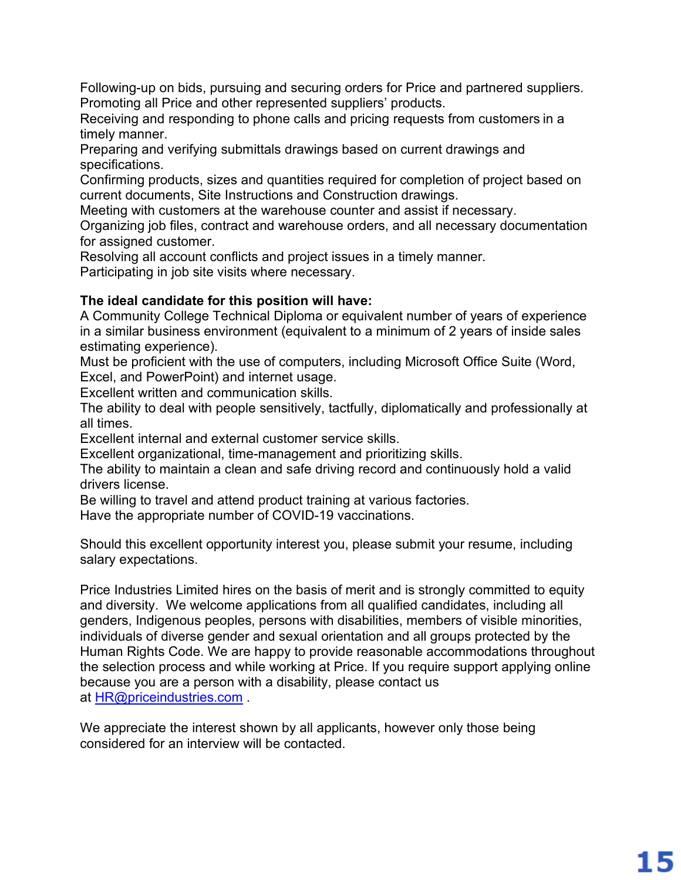Following-up on bids, pursuing and securing orders for Price and partnered suppliers. Promoting all Price and other represented suppliers' products.

Receiving and responding to phone calls and pricing requests from customers in a timely manner.

Preparing and verifying submittals drawings based on current drawings and specifications.

Confirming products, sizes and quantities required for completion of project based on current documents, Site Instructions and Construction drawings.

Meeting with customers at the warehouse counter and assist if necessary.

Organizing job files, contract and warehouse orders, and all necessary documentation for assigned customer.

Resolving all account conflicts and project issues in a timely manner. Participating in job site visits where necessary.

### **The ideal candidate for this position will have:**

A Community College Technical Diploma or equivalent number of years of experience in a similar business environment (equivalent to a minimum of 2 years of inside sales estimating experience).

Must be proficient with the use of computers, including Microsoft Office Suite (Word, Excel, and PowerPoint) and internet usage.

Excellent written and communication skills.

The ability to deal with people sensitively, tactfully, diplomatically and professionally at all times.

Excellent internal and external customer service skills.

Excellent organizational, time-management and prioritizing skills.

The ability to maintain a clean and safe driving record and continuously hold a valid drivers license.

Be willing to travel and attend product training at various factories.

Have the appropriate number of COVID-19 vaccinations.

Should this excellent opportunity interest you, please submit your resume, including salary expectations.

Price Industries Limited hires on the basis of merit and is strongly committed to equity and diversity. We welcome applications from all qualified candidates, including all genders, Indigenous peoples, persons with disabilities, members of visible minorities, individuals of diverse gender and sexual orientation and all groups protected by the Human Rights Code. We are happy to provide reasonable accommodations throughout the selection process and while working at Price. If you require support applying online because you are a person with a disability, please contact us at HR@priceindustries.com .

We appreciate the interest shown by all applicants, however only those being considered for an interview will be contacted.